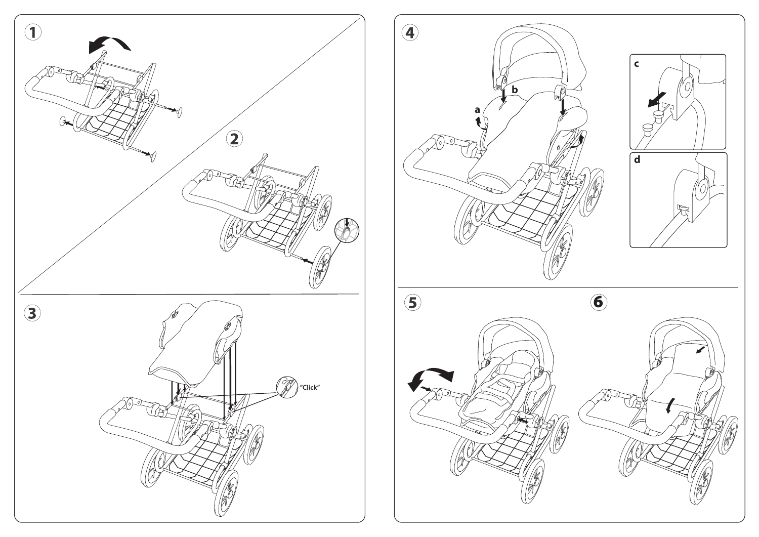